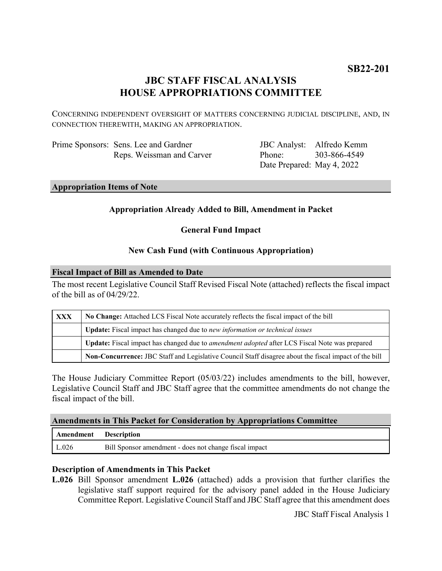# **JBC STAFF FISCAL ANALYSIS HOUSE APPROPRIATIONS COMMITTEE**

CONCERNING INDEPENDENT OVERSIGHT OF MATTERS CONCERNING JUDICIAL DISCIPLINE, AND, IN CONNECTION THEREWITH, MAKING AN APPROPRIATION.

| Prime Sponsors: Sens. Lee and Gardner |
|---------------------------------------|
| Reps. Weissman and Carver             |

JBC Analyst: Alfredo Kemm Phone: Date Prepared: May 4, 2022 303-866-4549

#### **Appropriation Items of Note**

## **Appropriation Already Added to Bill, Amendment in Packet**

**General Fund Impact**

#### **New Cash Fund (with Continuous Appropriation)**

#### **Fiscal Impact of Bill as Amended to Date**

The most recent Legislative Council Staff Revised Fiscal Note (attached) reflects the fiscal impact of the bill as of 04/29/22.

| <b>XXX</b> | No Change: Attached LCS Fiscal Note accurately reflects the fiscal impact of the bill                 |  |
|------------|-------------------------------------------------------------------------------------------------------|--|
|            | Update: Fiscal impact has changed due to new information or technical issues                          |  |
|            | Update: Fiscal impact has changed due to <i>amendment adopted</i> after LCS Fiscal Note was prepared  |  |
|            | Non-Concurrence: JBC Staff and Legislative Council Staff disagree about the fiscal impact of the bill |  |

The House Judiciary Committee Report (05/03/22) includes amendments to the bill, however, Legislative Council Staff and JBC Staff agree that the committee amendments do not change the fiscal impact of the bill.

### **Amendments in This Packet for Consideration by Appropriations Committee**

| Amendment Description |                                                        |
|-----------------------|--------------------------------------------------------|
| $\mathsf{L}.026$      | Bill Sponsor amendment - does not change fiscal impact |

#### **Description of Amendments in This Packet**

**L.026** Bill Sponsor amendment **L.026** (attached) adds a provision that further clarifies the legislative staff support required for the advisory panel added in the House Judiciary Committee Report. Legislative Council Staff and JBC Staff agree that this amendment does